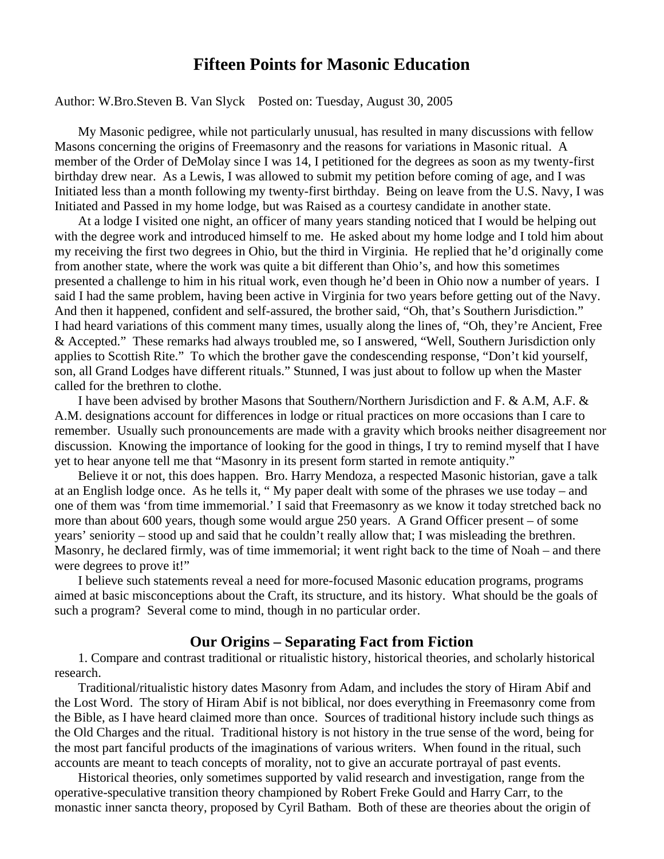# **Fifteen Points for Masonic Education**

#### Author: W.Bro.Steven B. Van Slyck Posted on: Tuesday, August 30, 2005

My Masonic pedigree, while not particularly unusual, has resulted in many discussions with fellow Masons concerning the origins of Freemasonry and the reasons for variations in Masonic ritual. A member of the Order of DeMolay since I was 14, I petitioned for the degrees as soon as my twenty-first birthday drew near. As a Lewis, I was allowed to submit my petition before coming of age, and I was Initiated less than a month following my twenty-first birthday. Being on leave from the U.S. Navy, I was Initiated and Passed in my home lodge, but was Raised as a courtesy candidate in another state.

At a lodge I visited one night, an officer of many years standing noticed that I would be helping out with the degree work and introduced himself to me. He asked about my home lodge and I told him about my receiving the first two degrees in Ohio, but the third in Virginia. He replied that he'd originally come from another state, where the work was quite a bit different than Ohio's, and how this sometimes presented a challenge to him in his ritual work, even though he'd been in Ohio now a number of years. I said I had the same problem, having been active in Virginia for two years before getting out of the Navy. And then it happened, confident and self-assured, the brother said, "Oh, that's Southern Jurisdiction." I had heard variations of this comment many times, usually along the lines of, "Oh, they're Ancient, Free & Accepted." These remarks had always troubled me, so I answered, "Well, Southern Jurisdiction only applies to Scottish Rite." To which the brother gave the condescending response, "Don't kid yourself, son, all Grand Lodges have different rituals." Stunned, I was just about to follow up when the Master called for the brethren to clothe.

I have been advised by brother Masons that Southern/Northern Jurisdiction and F. & A.M, A.F. & A.M. designations account for differences in lodge or ritual practices on more occasions than I care to remember. Usually such pronouncements are made with a gravity which brooks neither disagreement nor discussion. Knowing the importance of looking for the good in things, I try to remind myself that I have yet to hear anyone tell me that "Masonry in its present form started in remote antiquity."

Believe it or not, this does happen. Bro. Harry Mendoza, a respected Masonic historian, gave a talk at an English lodge once. As he tells it, " My paper dealt with some of the phrases we use today – and one of them was 'from time immemorial.' I said that Freemasonry as we know it today stretched back no more than about 600 years, though some would argue 250 years. A Grand Officer present – of some years' seniority – stood up and said that he couldn't really allow that; I was misleading the brethren. Masonry, he declared firmly, was of time immemorial; it went right back to the time of Noah – and there were degrees to prove it!"

I believe such statements reveal a need for more-focused Masonic education programs, programs aimed at basic misconceptions about the Craft, its structure, and its history. What should be the goals of such a program? Several come to mind, though in no particular order.

#### **Our Origins – Separating Fact from Fiction**

1. Compare and contrast traditional or ritualistic history, historical theories, and scholarly historical research.

Traditional/ritualistic history dates Masonry from Adam, and includes the story of Hiram Abif and the Lost Word. The story of Hiram Abif is not biblical, nor does everything in Freemasonry come from the Bible, as I have heard claimed more than once. Sources of traditional history include such things as the Old Charges and the ritual. Traditional history is not history in the true sense of the word, being for the most part fanciful products of the imaginations of various writers. When found in the ritual, such accounts are meant to teach concepts of morality, not to give an accurate portrayal of past events.

Historical theories, only sometimes supported by valid research and investigation, range from the operative-speculative transition theory championed by Robert Freke Gould and Harry Carr, to the monastic inner sancta theory, proposed by Cyril Batham. Both of these are theories about the origin of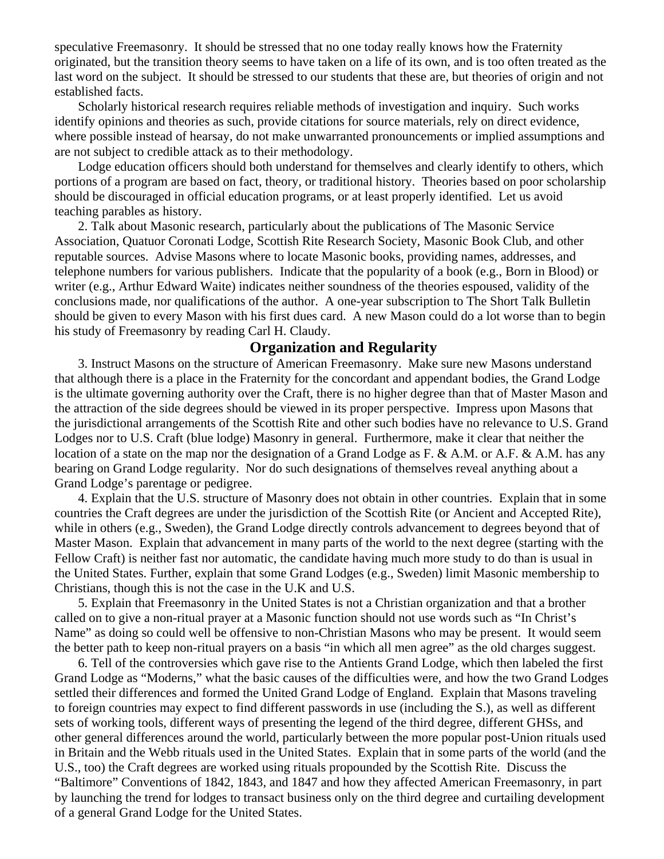speculative Freemasonry. It should be stressed that no one today really knows how the Fraternity originated, but the transition theory seems to have taken on a life of its own, and is too often treated as the last word on the subject. It should be stressed to our students that these are, but theories of origin and not established facts.

Scholarly historical research requires reliable methods of investigation and inquiry. Such works identify opinions and theories as such, provide citations for source materials, rely on direct evidence, where possible instead of hearsay, do not make unwarranted pronouncements or implied assumptions and are not subject to credible attack as to their methodology.

Lodge education officers should both understand for themselves and clearly identify to others, which portions of a program are based on fact, theory, or traditional history. Theories based on poor scholarship should be discouraged in official education programs, or at least properly identified. Let us avoid teaching parables as history.

2. Talk about Masonic research, particularly about the publications of The Masonic Service Association, Quatuor Coronati Lodge, Scottish Rite Research Society, Masonic Book Club, and other reputable sources. Advise Masons where to locate Masonic books, providing names, addresses, and telephone numbers for various publishers. Indicate that the popularity of a book (e.g., Born in Blood) or writer (e.g., Arthur Edward Waite) indicates neither soundness of the theories espoused, validity of the conclusions made, nor qualifications of the author. A one-year subscription to The Short Talk Bulletin should be given to every Mason with his first dues card. A new Mason could do a lot worse than to begin his study of Freemasonry by reading Carl H. Claudy.

# **Organization and Regularity**

3. Instruct Masons on the structure of American Freemasonry. Make sure new Masons understand that although there is a place in the Fraternity for the concordant and appendant bodies, the Grand Lodge is the ultimate governing authority over the Craft, there is no higher degree than that of Master Mason and the attraction of the side degrees should be viewed in its proper perspective. Impress upon Masons that the jurisdictional arrangements of the Scottish Rite and other such bodies have no relevance to U.S. Grand Lodges nor to U.S. Craft (blue lodge) Masonry in general. Furthermore, make it clear that neither the location of a state on the map nor the designation of a Grand Lodge as F. & A.M. or A.F. & A.M. has any bearing on Grand Lodge regularity. Nor do such designations of themselves reveal anything about a Grand Lodge's parentage or pedigree.

4. Explain that the U.S. structure of Masonry does not obtain in other countries. Explain that in some countries the Craft degrees are under the jurisdiction of the Scottish Rite (or Ancient and Accepted Rite), while in others (e.g., Sweden), the Grand Lodge directly controls advancement to degrees beyond that of Master Mason. Explain that advancement in many parts of the world to the next degree (starting with the Fellow Craft) is neither fast nor automatic, the candidate having much more study to do than is usual in the United States. Further, explain that some Grand Lodges (e.g., Sweden) limit Masonic membership to Christians, though this is not the case in the U.K and U.S.

5. Explain that Freemasonry in the United States is not a Christian organization and that a brother called on to give a non-ritual prayer at a Masonic function should not use words such as "In Christ's Name" as doing so could well be offensive to non-Christian Masons who may be present. It would seem the better path to keep non-ritual prayers on a basis "in which all men agree" as the old charges suggest.

6. Tell of the controversies which gave rise to the Antients Grand Lodge, which then labeled the first Grand Lodge as "Moderns," what the basic causes of the difficulties were, and how the two Grand Lodges settled their differences and formed the United Grand Lodge of England. Explain that Masons traveling to foreign countries may expect to find different passwords in use (including the S.), as well as different sets of working tools, different ways of presenting the legend of the third degree, different GHSs, and other general differences around the world, particularly between the more popular post-Union rituals used in Britain and the Webb rituals used in the United States. Explain that in some parts of the world (and the U.S., too) the Craft degrees are worked using rituals propounded by the Scottish Rite. Discuss the "Baltimore" Conventions of 1842, 1843, and 1847 and how they affected American Freemasonry, in part by launching the trend for lodges to transact business only on the third degree and curtailing development of a general Grand Lodge for the United States.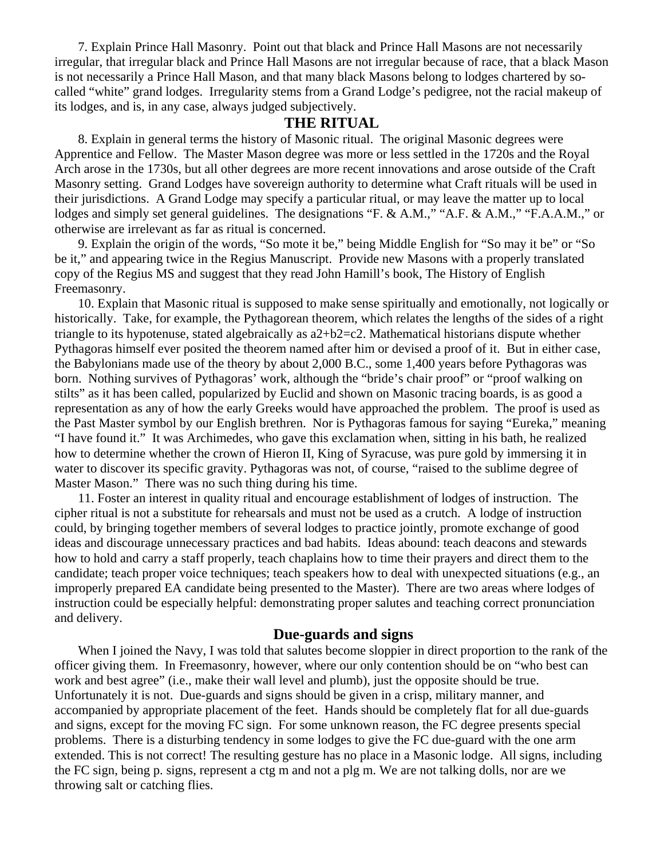7. Explain Prince Hall Masonry. Point out that black and Prince Hall Masons are not necessarily irregular, that irregular black and Prince Hall Masons are not irregular because of race, that a black Mason is not necessarily a Prince Hall Mason, and that many black Masons belong to lodges chartered by socalled "white" grand lodges. Irregularity stems from a Grand Lodge's pedigree, not the racial makeup of its lodges, and is, in any case, always judged subjectively.

#### **THE RITUAL**

8. Explain in general terms the history of Masonic ritual. The original Masonic degrees were Apprentice and Fellow. The Master Mason degree was more or less settled in the 1720s and the Royal Arch arose in the 1730s, but all other degrees are more recent innovations and arose outside of the Craft Masonry setting. Grand Lodges have sovereign authority to determine what Craft rituals will be used in their jurisdictions. A Grand Lodge may specify a particular ritual, or may leave the matter up to local lodges and simply set general guidelines. The designations "F. & A.M.," "A.F. & A.M.," "F.A.A.M.," or otherwise are irrelevant as far as ritual is concerned.

9. Explain the origin of the words, "So mote it be," being Middle English for "So may it be" or "So be it," and appearing twice in the Regius Manuscript. Provide new Masons with a properly translated copy of the Regius MS and suggest that they read John Hamill's book, The History of English Freemasonry.

10. Explain that Masonic ritual is supposed to make sense spiritually and emotionally, not logically or historically. Take, for example, the Pythagorean theorem, which relates the lengths of the sides of a right triangle to its hypotenuse, stated algebraically as a2+b2=c2. Mathematical historians dispute whether Pythagoras himself ever posited the theorem named after him or devised a proof of it. But in either case, the Babylonians made use of the theory by about 2,000 B.C., some 1,400 years before Pythagoras was born. Nothing survives of Pythagoras' work, although the "bride's chair proof" or "proof walking on stilts" as it has been called, popularized by Euclid and shown on Masonic tracing boards, is as good a representation as any of how the early Greeks would have approached the problem. The proof is used as the Past Master symbol by our English brethren. Nor is Pythagoras famous for saying "Eureka," meaning "I have found it." It was Archimedes, who gave this exclamation when, sitting in his bath, he realized how to determine whether the crown of Hieron II, King of Syracuse, was pure gold by immersing it in water to discover its specific gravity. Pythagoras was not, of course, "raised to the sublime degree of Master Mason." There was no such thing during his time.

11. Foster an interest in quality ritual and encourage establishment of lodges of instruction. The cipher ritual is not a substitute for rehearsals and must not be used as a crutch. A lodge of instruction could, by bringing together members of several lodges to practice jointly, promote exchange of good ideas and discourage unnecessary practices and bad habits. Ideas abound: teach deacons and stewards how to hold and carry a staff properly, teach chaplains how to time their prayers and direct them to the candidate; teach proper voice techniques; teach speakers how to deal with unexpected situations (e.g., an improperly prepared EA candidate being presented to the Master). There are two areas where lodges of instruction could be especially helpful: demonstrating proper salutes and teaching correct pronunciation and delivery.

## **Due-guards and signs**

When I joined the Navy, I was told that salutes become sloppier in direct proportion to the rank of the officer giving them. In Freemasonry, however, where our only contention should be on "who best can work and best agree" (i.e., make their wall level and plumb), just the opposite should be true. Unfortunately it is not. Due-guards and signs should be given in a crisp, military manner, and accompanied by appropriate placement of the feet. Hands should be completely flat for all due-guards and signs, except for the moving FC sign. For some unknown reason, the FC degree presents special problems. There is a disturbing tendency in some lodges to give the FC due-guard with the one arm extended. This is not correct! The resulting gesture has no place in a Masonic lodge. All signs, including the FC sign, being p. signs, represent a ctg m and not a plg m. We are not talking dolls, nor are we throwing salt or catching flies.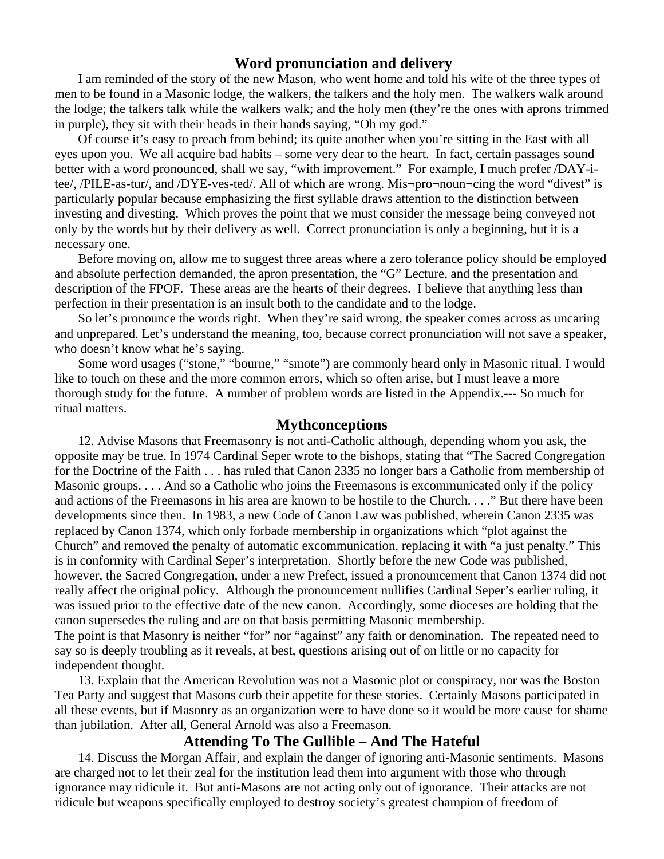#### **Word pronunciation and delivery**

I am reminded of the story of the new Mason, who went home and told his wife of the three types of men to be found in a Masonic lodge, the walkers, the talkers and the holy men. The walkers walk around the lodge; the talkers talk while the walkers walk; and the holy men (they're the ones with aprons trimmed in purple), they sit with their heads in their hands saying, "Oh my god."

Of course it's easy to preach from behind; its quite another when you're sitting in the East with all eyes upon you. We all acquire bad habits – some very dear to the heart. In fact, certain passages sound better with a word pronounced, shall we say, "with improvement." For example, I much prefer /DAY-itee/, /PILE-as-tur/, and /DYE-ves-ted/. All of which are wrong. Mis¬pro¬noun¬cing the word "divest" is particularly popular because emphasizing the first syllable draws attention to the distinction between investing and divesting. Which proves the point that we must consider the message being conveyed not only by the words but by their delivery as well. Correct pronunciation is only a beginning, but it is a necessary one.

Before moving on, allow me to suggest three areas where a zero tolerance policy should be employed and absolute perfection demanded, the apron presentation, the "G" Lecture, and the presentation and description of the FPOF. These areas are the hearts of their degrees. I believe that anything less than perfection in their presentation is an insult both to the candidate and to the lodge.

So let's pronounce the words right. When they're said wrong, the speaker comes across as uncaring and unprepared. Let's understand the meaning, too, because correct pronunciation will not save a speaker, who doesn't know what he's saying.

Some word usages ("stone," "bourne," "smote") are commonly heard only in Masonic ritual. I would like to touch on these and the more common errors, which so often arise, but I must leave a more thorough study for the future. A number of problem words are listed in the Appendix.--- So much for ritual matters.

## **Mythconceptions**

12. Advise Masons that Freemasonry is not anti-Catholic although, depending whom you ask, the opposite may be true. In 1974 Cardinal Seper wrote to the bishops, stating that "The Sacred Congregation for the Doctrine of the Faith . . . has ruled that Canon 2335 no longer bars a Catholic from membership of Masonic groups. . . . And so a Catholic who joins the Freemasons is excommunicated only if the policy and actions of the Freemasons in his area are known to be hostile to the Church. . . ." But there have been developments since then. In 1983, a new Code of Canon Law was published, wherein Canon 2335 was replaced by Canon 1374, which only forbade membership in organizations which "plot against the Church" and removed the penalty of automatic excommunication, replacing it with "a just penalty." This is in conformity with Cardinal Seper's interpretation. Shortly before the new Code was published, however, the Sacred Congregation, under a new Prefect, issued a pronouncement that Canon 1374 did not really affect the original policy. Although the pronouncement nullifies Cardinal Seper's earlier ruling, it was issued prior to the effective date of the new canon. Accordingly, some dioceses are holding that the canon supersedes the ruling and are on that basis permitting Masonic membership. The point is that Masonry is neither "for" nor "against" any faith or denomination. The repeated need to

say so is deeply troubling as it reveals, at best, questions arising out of on little or no capacity for independent thought.

13. Explain that the American Revolution was not a Masonic plot or conspiracy, nor was the Boston Tea Party and suggest that Masons curb their appetite for these stories. Certainly Masons participated in all these events, but if Masonry as an organization were to have done so it would be more cause for shame than jubilation. After all, General Arnold was also a Freemason.

# **Attending To The Gullible – And The Hateful**

14. Discuss the Morgan Affair, and explain the danger of ignoring anti-Masonic sentiments. Masons are charged not to let their zeal for the institution lead them into argument with those who through ignorance may ridicule it. But anti-Masons are not acting only out of ignorance. Their attacks are not ridicule but weapons specifically employed to destroy society's greatest champion of freedom of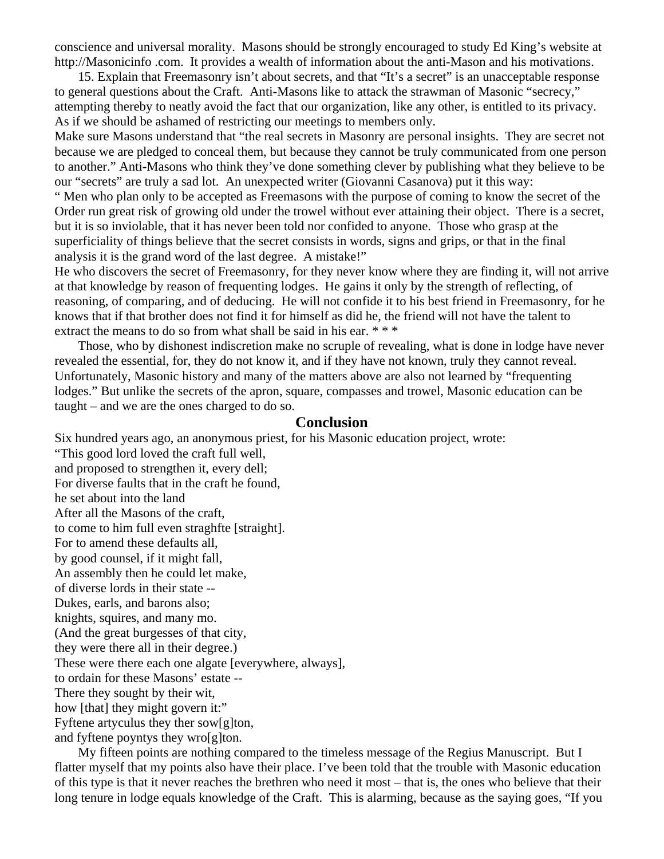conscience and universal morality. Masons should be strongly encouraged to study Ed King's website at http://Masonicinfo .com. It provides a wealth of information about the anti-Mason and his motivations.

15. Explain that Freemasonry isn't about secrets, and that "It's a secret" is an unacceptable response to general questions about the Craft. Anti-Masons like to attack the strawman of Masonic "secrecy," attempting thereby to neatly avoid the fact that our organization, like any other, is entitled to its privacy. As if we should be ashamed of restricting our meetings to members only.

Make sure Masons understand that "the real secrets in Masonry are personal insights. They are secret not because we are pledged to conceal them, but because they cannot be truly communicated from one person to another." Anti-Masons who think they've done something clever by publishing what they believe to be our "secrets" are truly a sad lot. An unexpected writer (Giovanni Casanova) put it this way:

" Men who plan only to be accepted as Freemasons with the purpose of coming to know the secret of the Order run great risk of growing old under the trowel without ever attaining their object. There is a secret, but it is so inviolable, that it has never been told nor confided to anyone. Those who grasp at the superficiality of things believe that the secret consists in words, signs and grips, or that in the final analysis it is the grand word of the last degree. A mistake!"

He who discovers the secret of Freemasonry, for they never know where they are finding it, will not arrive at that knowledge by reason of frequenting lodges. He gains it only by the strength of reflecting, of reasoning, of comparing, and of deducing. He will not confide it to his best friend in Freemasonry, for he knows that if that brother does not find it for himself as did he, the friend will not have the talent to extract the means to do so from what shall be said in his ear. \*\*\*

Those, who by dishonest indiscretion make no scruple of revealing, what is done in lodge have never revealed the essential, for, they do not know it, and if they have not known, truly they cannot reveal. Unfortunately, Masonic history and many of the matters above are also not learned by "frequenting lodges." But unlike the secrets of the apron, square, compasses and trowel, Masonic education can be taught – and we are the ones charged to do so.

#### **Conclusion**

Six hundred years ago, an anonymous priest, for his Masonic education project, wrote:

"This good lord loved the craft full well, and proposed to strengthen it, every dell; For diverse faults that in the craft he found, he set about into the land After all the Masons of the craft, to come to him full even straghfte [straight]. For to amend these defaults all, by good counsel, if it might fall, An assembly then he could let make, of diverse lords in their state -- Dukes, earls, and barons also; knights, squires, and many mo. (And the great burgesses of that city, they were there all in their degree.) These were there each one algate [everywhere, always], to ordain for these Masons' estate -- There they sought by their wit, how [that] they might govern it:" Fyftene artyculus they ther sow[g]ton, and fyftene poyntys they wro[g]ton.

My fifteen points are nothing compared to the timeless message of the Regius Manuscript. But I flatter myself that my points also have their place. I've been told that the trouble with Masonic education of this type is that it never reaches the brethren who need it most – that is, the ones who believe that their long tenure in lodge equals knowledge of the Craft. This is alarming, because as the saying goes, "If you